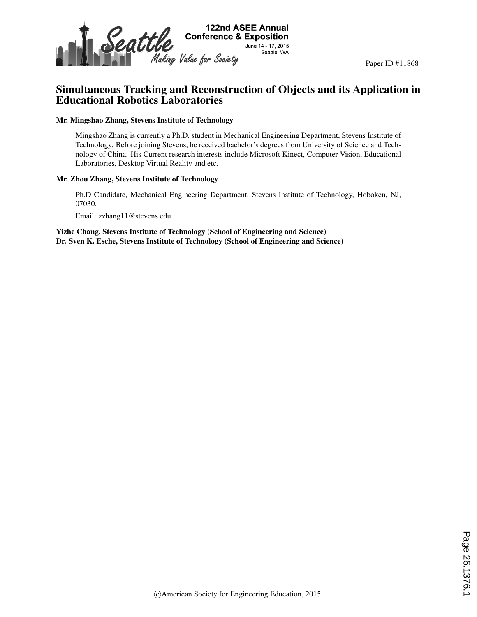

# Simultaneous Tracking and Reconstruction of Objects and its Application in Educational Robotics Laboratories

#### Mr. Mingshao Zhang, Stevens Institute of Technology

Mingshao Zhang is currently a Ph.D. student in Mechanical Engineering Department, Stevens Institute of Technology. Before joining Stevens, he received bachelor's degrees from University of Science and Technology of China. His Current research interests include Microsoft Kinect, Computer Vision, Educational Laboratories, Desktop Virtual Reality and etc.

#### Mr. Zhou Zhang, Stevens Institute of Technology

Ph.D Candidate, Mechanical Engineering Department, Stevens Institute of Technology, Hoboken, NJ, 07030.

Email: zzhang11@stevens.edu

Yizhe Chang, Stevens Institute of Technology (School of Engineering and Science) Dr. Sven K. Esche, Stevens Institute of Technology (School of Engineering and Science)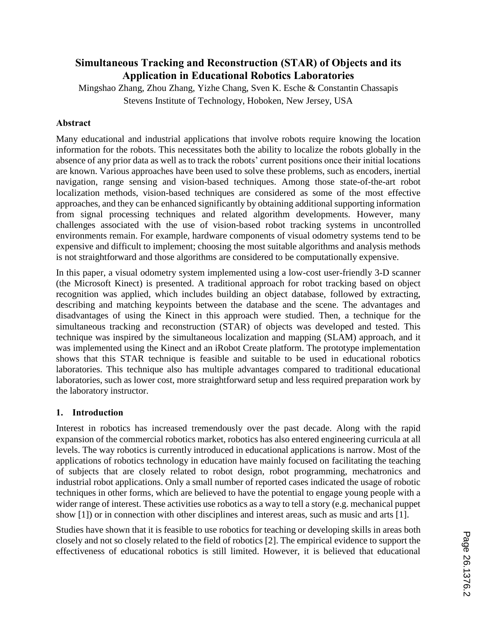# **Simultaneous Tracking and Reconstruction (STAR) of Objects and its Application in Educational Robotics Laboratories**

Mingshao Zhang, Zhou Zhang, Yizhe Chang, Sven K. Esche & Constantin Chassapis Stevens Institute of Technology, Hoboken, New Jersey, USA

#### **Abstract**

Many educational and industrial applications that involve robots require knowing the location information for the robots. This necessitates both the ability to localize the robots globally in the absence of any prior data as well as to track the robots' current positions once their initial locations are known. Various approaches have been used to solve these problems, such as encoders, inertial navigation, range sensing and vision-based techniques. Among those state-of-the-art robot localization methods, vision-based techniques are considered as some of the most effective approaches, and they can be enhanced significantly by obtaining additional supporting information from signal processing techniques and related algorithm developments. However, many challenges associated with the use of vision-based robot tracking systems in uncontrolled environments remain. For example, hardware components of visual odometry systems tend to be expensive and difficult to implement; choosing the most suitable algorithms and analysis methods is not straightforward and those algorithms are considered to be computationally expensive.

In this paper, a visual odometry system implemented using a low-cost user-friendly 3-D scanner (the Microsoft Kinect) is presented. A traditional approach for robot tracking based on object recognition was applied, which includes building an object database, followed by extracting, describing and matching keypoints between the database and the scene. The advantages and disadvantages of using the Kinect in this approach were studied. Then, a technique for the simultaneous tracking and reconstruction (STAR) of objects was developed and tested. This technique was inspired by the simultaneous localization and mapping (SLAM) approach, and it was implemented using the Kinect and an iRobot Create platform. The prototype implementation shows that this STAR technique is feasible and suitable to be used in educational robotics laboratories. This technique also has multiple advantages compared to traditional educational laboratories, such as lower cost, more straightforward setup and less required preparation work by the laboratory instructor.

#### **1. Introduction**

Interest in robotics has increased tremendously over the past decade. Along with the rapid expansion of the commercial robotics market, robotics has also entered engineering curricula at all levels. The way robotics is currently introduced in educational applications is narrow. Most of the applications of robotics technology in education have mainly focused on facilitating the teaching of subjects that are closely related to robot design, robot programming, mechatronics and industrial robot applications. Only a small number of reported cases indicated the usage of robotic techniques in other forms, which are believed to have the potential to engage young people with a wider range of interest. These activities use robotics as a way to tell a story (e.g. mechanical puppet show [1]) or in connection with other disciplines and interest areas, such as music and arts [1].

Studies have shown that it is feasible to use robotics for teaching or developing skills in areas both closely and not so closely related to the field of robotics [2]. The empirical evidence to support the effectiveness of educational robotics is still limited. However, it is believed that educational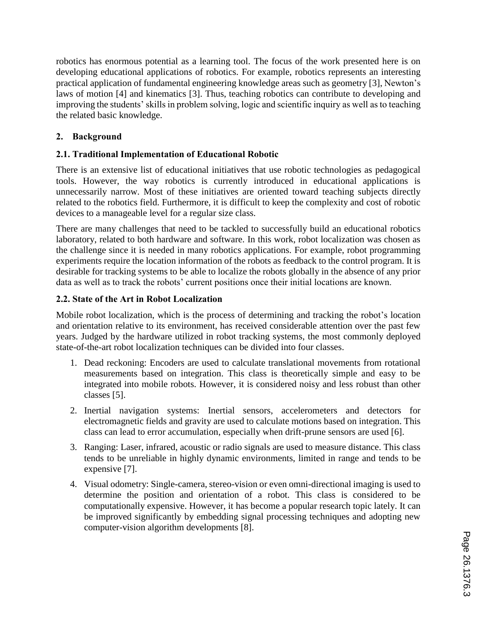robotics has enormous potential as a learning tool. The focus of the work presented here is on developing educational applications of robotics. For example, robotics represents an interesting practical application of fundamental engineering knowledge areas such as geometry [3], Newton's laws of motion [4] and kinematics [3]. Thus, teaching robotics can contribute to developing and improving the students' skills in problem solving, logic and scientific inquiry as well as to teaching the related basic knowledge.

### **2. Background**

### **2.1. Traditional Implementation of Educational Robotic**

There is an extensive list of educational initiatives that use robotic technologies as pedagogical tools. However, the way robotics is currently introduced in educational applications is unnecessarily narrow. Most of these initiatives are oriented toward teaching subjects directly related to the robotics field. Furthermore, it is difficult to keep the complexity and cost of robotic devices to a manageable level for a regular size class.

There are many challenges that need to be tackled to successfully build an educational robotics laboratory, related to both hardware and software. In this work, robot localization was chosen as the challenge since it is needed in many robotics applications. For example, robot programming experiments require the location information of the robots as feedback to the control program. It is desirable for tracking systems to be able to localize the robots globally in the absence of any prior data as well as to track the robots' current positions once their initial locations are known.

### **2.2. State of the Art in Robot Localization**

Mobile robot localization, which is the process of determining and tracking the robot's location and orientation relative to its environment, has received considerable attention over the past few years. Judged by the hardware utilized in robot tracking systems, the most commonly deployed state-of-the-art robot localization techniques can be divided into four classes.

- 1. Dead reckoning: Encoders are used to calculate translational movements from rotational measurements based on integration. This class is theoretically simple and easy to be integrated into mobile robots. However, it is considered noisy and less robust than other classes [5].
- 2. Inertial navigation systems: Inertial sensors, accelerometers and detectors for electromagnetic fields and gravity are used to calculate motions based on integration. This class can lead to error accumulation, especially when drift-prune sensors are used [6].
- 3. Ranging: Laser, infrared, acoustic or radio signals are used to measure distance. This class tends to be unreliable in highly dynamic environments, limited in range and tends to be expensive [7].
- 4. Visual odometry: Single-camera, stereo-vision or even omni-directional imaging is used to determine the position and orientation of a robot. This class is considered to be computationally expensive. However, it has become a popular research topic lately. It can be improved significantly by embedding signal processing techniques and adopting new computer-vision algorithm developments [8].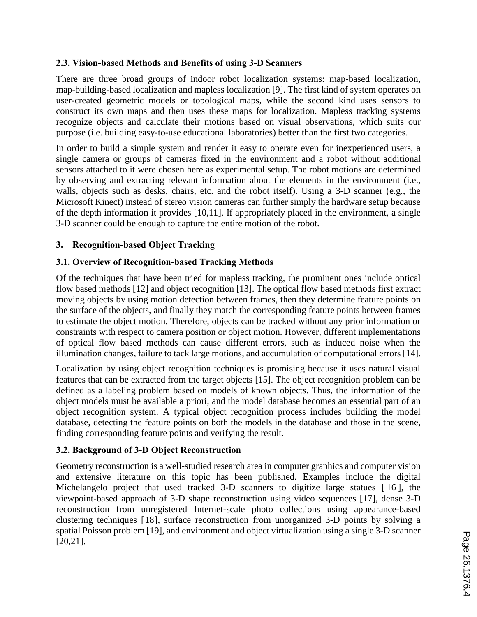### **2.3. Vision-based Methods and Benefits of using 3-D Scanners**

There are three broad groups of indoor robot localization systems: map-based localization, map-building-based localization and mapless localization [9]. The first kind of system operates on user-created geometric models or topological maps, while the second kind uses sensors to construct its own maps and then uses these maps for localization. Mapless tracking systems recognize objects and calculate their motions based on visual observations, which suits our purpose (i.e. building easy-to-use educational laboratories) better than the first two categories.

In order to build a simple system and render it easy to operate even for inexperienced users, a single camera or groups of cameras fixed in the environment and a robot without additional sensors attached to it were chosen here as experimental setup. The robot motions are determined by observing and extracting relevant information about the elements in the environment (i.e., walls, objects such as desks, chairs, etc. and the robot itself). Using a 3-D scanner (e.g., the Microsoft Kinect) instead of stereo vision cameras can further simply the hardware setup because of the depth information it provides [10,11]. If appropriately placed in the environment, a single 3-D scanner could be enough to capture the entire motion of the robot.

#### **3. Recognition-based Object Tracking**

#### **3.1. Overview of Recognition-based Tracking Methods**

Of the techniques that have been tried for mapless tracking, the prominent ones include optical flow based methods [12] and object recognition [13]. The optical flow based methods first extract moving objects by using motion detection between frames, then they determine feature points on the surface of the objects, and finally they match the corresponding feature points between frames to estimate the object motion. Therefore, objects can be tracked without any prior information or constraints with respect to camera position or object motion. However, different implementations of optical flow based methods can cause different errors, such as induced noise when the illumination changes, failure to tack large motions, and accumulation of computational errors [14].

Localization by using object recognition techniques is promising because it uses natural visual features that can be extracted from the target objects [15]. The object recognition problem can be defined as a labeling problem based on models of known objects. Thus, the information of the object models must be available a priori, and the model database becomes an essential part of an object recognition system. A typical object recognition process includes building the model database, detecting the feature points on both the models in the database and those in the scene, finding corresponding feature points and verifying the result.

### **3.2. Background of 3-D Object Reconstruction**

Geometry reconstruction is a well-studied research area in computer graphics and computer vision and extensive literature on this topic has been published. Examples include the digital Michelangelo project that used tracked 3-D scanners to digitize large statues [ 16 ], the viewpoint-based approach of 3-D shape reconstruction using video sequences [17], dense 3-D reconstruction from unregistered Internet-scale photo collections using appearance-based clustering techniques [18], surface reconstruction from unorganized 3-D points by solving a spatial Poisson problem [19], and environment and object virtualization using a single 3-D scanner [20,21].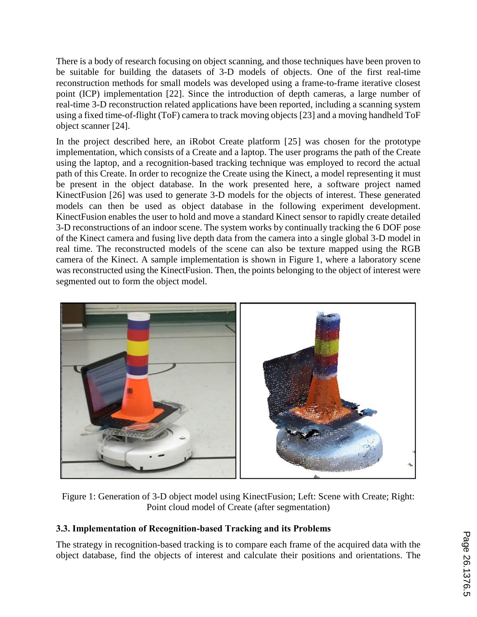There is a body of research focusing on object scanning, and those techniques have been proven to be suitable for building the datasets of 3-D models of objects. One of the first real-time reconstruction methods for small models was developed using a frame-to-frame iterative closest point (ICP) implementation [22]. Since the introduction of depth cameras, a large number of real-time 3-D reconstruction related applications have been reported, including a scanning system using a fixed time-of-flight (ToF) camera to track moving objects [23] and a moving handheld ToF object scanner [24].

In the project described here, an iRobot Create platform [25] was chosen for the prototype implementation, which consists of a Create and a laptop. The user programs the path of the Create using the laptop, and a recognition-based tracking technique was employed to record the actual path of this Create. In order to recognize the Create using the Kinect, a model representing it must be present in the object database. In the work presented here, a software project named KinectFusion [26] was used to generate 3-D models for the objects of interest. These generated models can then be used as object database in the following experiment development. KinectFusion enables the user to hold and move a standard Kinect sensor to rapidly create detailed 3-D reconstructions of an indoor scene. The system works by continually tracking the 6 DOF pose of the Kinect camera and fusing live depth data from the camera into a single global 3-D model in real time. The reconstructed models of the scene can also be texture mapped using the RGB camera of the Kinect. A sample implementation is shown in Figure 1, where a laboratory scene was reconstructed using the KinectFusion. Then, the points belonging to the object of interest were segmented out to form the object model.



Figure 1: Generation of 3-D object model using KinectFusion; Left: Scene with Create; Right: Point cloud model of Create (after segmentation)

# **3.3. Implementation of Recognition-based Tracking and its Problems**

The strategy in recognition-based tracking is to compare each frame of the acquired data with the object database, find the objects of interest and calculate their positions and orientations. The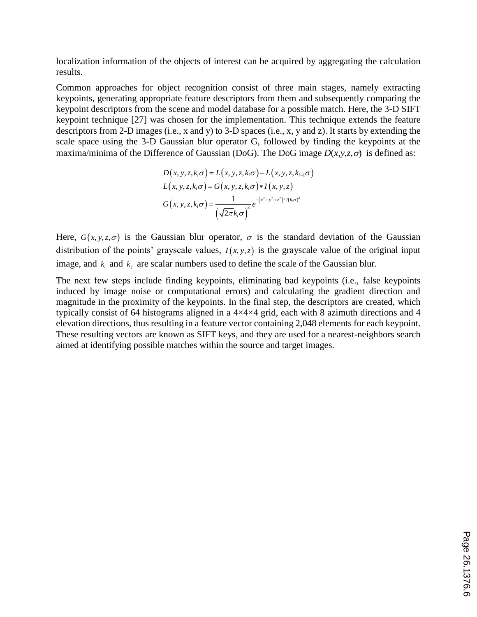localization information of the objects of interest can be acquired by aggregating the calculation results.

Common approaches for object recognition consist of three main stages, namely extracting keypoints, generating appropriate feature descriptors from them and subsequently comparing the keypoint descriptors from the scene and model database for a possible match. Here, the 3-D SIFT keypoint technique [27] was chosen for the implementation. This technique extends the feature descriptors from 2-D images (i.e., x and y) to 3-D spaces (i.e., x, y and z). It starts by extending the scale space using the 3-D Gaussian blur operator G, followed by finding the keypoints at the maxima/minima of the Difference of Gaussian (DoG). The DoG image  $D(x, y, z, \sigma)$  is defined as:

$$
D(x, y, z, k_i \sigma) = L(x, y, z, k_i \sigma) - L(x, y, z, k_{i-1} \sigma)
$$
  
\n
$$
L(x, y, z, k_i \sigma) = G(x, y, z, k_i \sigma) * I(x, y, z)
$$
  
\n
$$
G(x, y, z, k_i \sigma) = \frac{1}{(\sqrt{2\pi}k_i \sigma)^3} e^{-(x^2 + y^2 + z^2)/2(k_i \sigma)^2}
$$

Here,  $G(x, y, z, \sigma)$  is the Gaussian blur operator,  $\sigma$  is the standard deviation of the Gaussian distribution of the points' grayscale values,  $I(x, y, z)$  is the grayscale value of the original input image, and  $k_i$  and  $k_j$  are scalar numbers used to define the scale of the Gaussian blur.

The next few steps include finding keypoints, eliminating bad keypoints (i.e., false keypoints induced by image noise or computational errors) and calculating the gradient direction and magnitude in the proximity of the keypoints. In the final step, the descriptors are created, which typically consist of 64 histograms aligned in a 4×4×4 grid, each with 8 azimuth directions and 4 elevation directions, thus resulting in a feature vector containing 2,048 elements for each keypoint. These resulting vectors are known as SIFT keys, and they are used for a nearest-neighbors search aimed at identifying possible matches within the source and target images.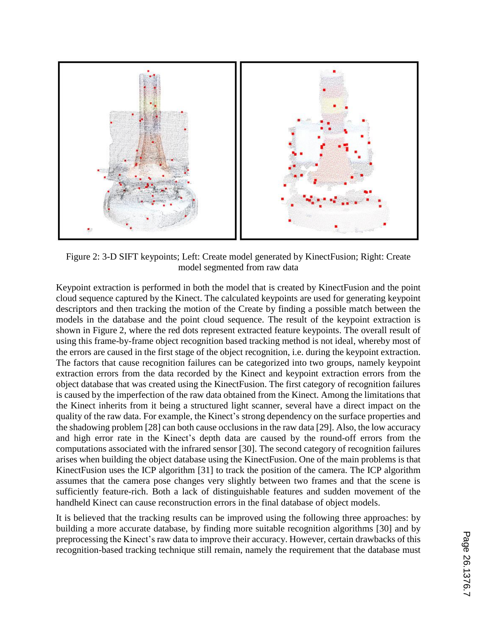

Figure 2: 3-D SIFT keypoints; Left: Create model generated by KinectFusion; Right: Create model segmented from raw data

Keypoint extraction is performed in both the model that is created by KinectFusion and the point cloud sequence captured by the Kinect. The calculated keypoints are used for generating keypoint descriptors and then tracking the motion of the Create by finding a possible match between the models in the database and the point cloud sequence. The result of the keypoint extraction is shown in Figure 2, where the red dots represent extracted feature keypoints. The overall result of using this frame-by-frame object recognition based tracking method is not ideal, whereby most of the errors are caused in the first stage of the object recognition, i.e. during the keypoint extraction. The factors that cause recognition failures can be categorized into two groups, namely keypoint extraction errors from the data recorded by the Kinect and keypoint extraction errors from the object database that was created using the KinectFusion. The first category of recognition failures is caused by the imperfection of the raw data obtained from the Kinect. Among the limitations that the Kinect inherits from it being a structured light scanner, several have a direct impact on the quality of the raw data. For example, the Kinect's strong dependency on the surface properties and the shadowing problem [28] can both cause occlusions in the raw data [29]. Also, the low accuracy and high error rate in the Kinect's depth data are caused by the round-off errors from the computations associated with the infrared sensor [30]. The second category of recognition failures arises when building the object database using the KinectFusion. One of the main problems is that KinectFusion uses the ICP algorithm [31] to track the position of the camera. The ICP algorithm assumes that the camera pose changes very slightly between two frames and that the scene is sufficiently feature-rich. Both a lack of distinguishable features and sudden movement of the handheld Kinect can cause reconstruction errors in the final database of object models.

It is believed that the tracking results can be improved using the following three approaches: by building a more accurate database, by finding more suitable recognition algorithms [30] and by preprocessing the Kinect's raw data to improve their accuracy. However, certain drawbacks of this recognition-based tracking technique still remain, namely the requirement that the database must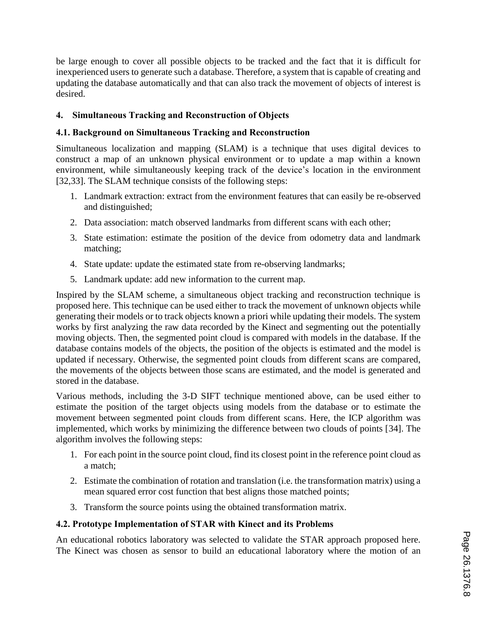be large enough to cover all possible objects to be tracked and the fact that it is difficult for inexperienced users to generate such a database. Therefore, a system that is capable of creating and updating the database automatically and that can also track the movement of objects of interest is desired.

### **4. Simultaneous Tracking and Reconstruction of Objects**

#### **4.1. Background on Simultaneous Tracking and Reconstruction**

Simultaneous localization and mapping (SLAM) is a technique that uses digital devices to construct a map of an unknown physical environment or to update a map within a known environment, while simultaneously keeping track of the device's location in the environment [32,33]. The SLAM technique consists of the following steps:

- 1. Landmark extraction: extract from the environment features that can easily be re-observed and distinguished;
- 2. Data association: match observed landmarks from different scans with each other;
- 3. State estimation: estimate the position of the device from odometry data and landmark matching;
- 4. State update: update the estimated state from re-observing landmarks;
- 5. Landmark update: add new information to the current map.

Inspired by the SLAM scheme, a simultaneous object tracking and reconstruction technique is proposed here. This technique can be used either to track the movement of unknown objects while generating their models or to track objects known a priori while updating their models. The system works by first analyzing the raw data recorded by the Kinect and segmenting out the potentially moving objects. Then, the segmented point cloud is compared with models in the database. If the database contains models of the objects, the position of the objects is estimated and the model is updated if necessary. Otherwise, the segmented point clouds from different scans are compared, the movements of the objects between those scans are estimated, and the model is generated and stored in the database.

Various methods, including the 3-D SIFT technique mentioned above, can be used either to estimate the position of the target objects using models from the database or to estimate the movement between segmented point clouds from different scans. Here, the ICP algorithm was implemented, which works by minimizing the difference between two clouds of points [34]. The algorithm involves the following steps:

- 1. For each point in the source point cloud, find its closest point in the reference point cloud as a match;
- 2. Estimate the combination of rotation and translation (i.e. the transformation matrix) using a mean squared error cost function that best aligns those matched points;
- 3. Transform the source points using the obtained transformation matrix.

# **4.2. Prototype Implementation of STAR with Kinect and its Problems**

An educational robotics laboratory was selected to validate the STAR approach proposed here. The Kinect was chosen as sensor to build an educational laboratory where the motion of an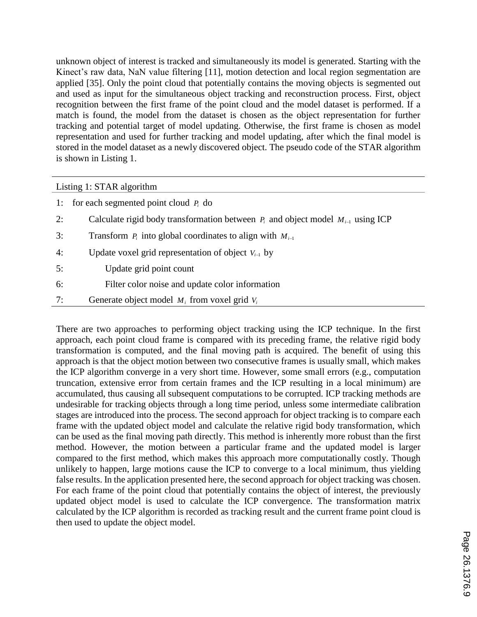unknown object of interest is tracked and simultaneously its model is generated. Starting with the Kinect's raw data, NaN value filtering [11], motion detection and local region segmentation are applied [35]. Only the point cloud that potentially contains the moving objects is segmented out and used as input for the simultaneous object tracking and reconstruction process. First, object recognition between the first frame of the point cloud and the model dataset is performed. If a match is found, the model from the dataset is chosen as the object representation for further tracking and potential target of model updating. Otherwise, the first frame is chosen as model representation and used for further tracking and model updating, after which the final model is stored in the model dataset as a newly discovered object. The pseudo code of the STAR algorithm is shown in Listing 1.

#### Listing 1: STAR algorithm

|    | 1: for each segmented point cloud $P_i$ do                                             |
|----|----------------------------------------------------------------------------------------|
| 2: | Calculate rigid body transformation between $P_i$ and object model $M_{i-1}$ using ICP |
| 3: | Transform $P_i$ into global coordinates to align with $M_{i-1}$                        |
| 4: | Update voxel grid representation of object $V_{i-1}$ by                                |
| 5: | Update grid point count                                                                |
| 6: | Filter color noise and update color information                                        |
| 7: | Generate object model $M_i$ from voxel grid $V_i$                                      |

There are two approaches to performing object tracking using the ICP technique. In the first approach, each point cloud frame is compared with its preceding frame, the relative rigid body transformation is computed, and the final moving path is acquired. The benefit of using this approach is that the object motion between two consecutive frames is usually small, which makes the ICP algorithm converge in a very short time. However, some small errors (e.g., computation truncation, extensive error from certain frames and the ICP resulting in a local minimum) are accumulated, thus causing all subsequent computations to be corrupted. ICP tracking methods are undesirable for tracking objects through a long time period, unless some intermediate calibration stages are introduced into the process. The second approach for object tracking is to compare each frame with the updated object model and calculate the relative rigid body transformation, which can be used as the final moving path directly. This method is inherently more robust than the first method. However, the motion between a particular frame and the updated model is larger compared to the first method, which makes this approach more computationally costly. Though unlikely to happen, large motions cause the ICP to converge to a local minimum, thus yielding false results. In the application presented here, the second approach for object tracking was chosen. For each frame of the point cloud that potentially contains the object of interest, the previously updated object model is used to calculate the ICP convergence. The transformation matrix calculated by the ICP algorithm is recorded as tracking result and the current frame point cloud is then used to update the object model.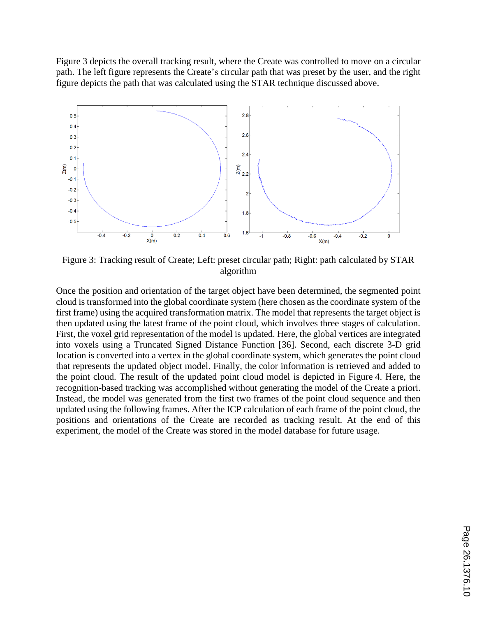Figure 3 depicts the overall tracking result, where the Create was controlled to move on a circular path. The left figure represents the Create's circular path that was preset by the user, and the right figure depicts the path that was calculated using the STAR technique discussed above.



Figure 3: Tracking result of Create; Left: preset circular path; Right: path calculated by STAR algorithm

Once the position and orientation of the target object have been determined, the segmented point cloud is transformed into the global coordinate system (here chosen as the coordinate system of the first frame) using the acquired transformation matrix. The model that represents the target object is then updated using the latest frame of the point cloud, which involves three stages of calculation. First, the voxel grid representation of the model is updated. Here, the global vertices are integrated into voxels using a Truncated Signed Distance Function [36]. Second, each discrete 3-D grid location is converted into a vertex in the global coordinate system, which generates the point cloud that represents the updated object model. Finally, the color information is retrieved and added to the point cloud. The result of the updated point cloud model is depicted in Figure 4. Here, the recognition-based tracking was accomplished without generating the model of the Create a priori. Instead, the model was generated from the first two frames of the point cloud sequence and then updated using the following frames. After the ICP calculation of each frame of the point cloud, the positions and orientations of the Create are recorded as tracking result. At the end of this experiment, the model of the Create was stored in the model database for future usage.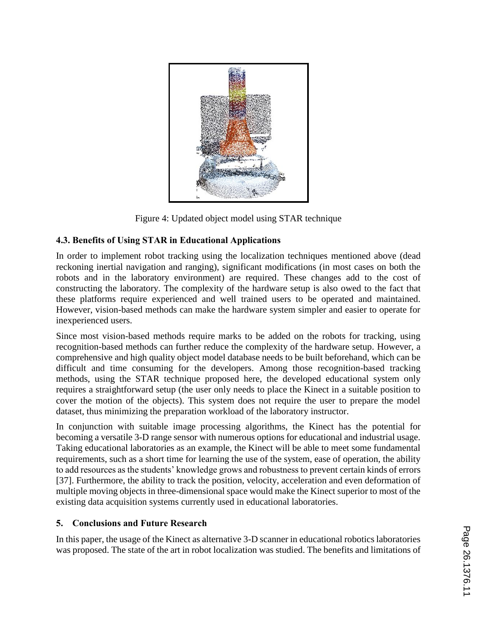

Figure 4: Updated object model using STAR technique

# **4.3. Benefits of Using STAR in Educational Applications**

In order to implement robot tracking using the localization techniques mentioned above (dead reckoning inertial navigation and ranging), significant modifications (in most cases on both the robots and in the laboratory environment) are required. These changes add to the cost of constructing the laboratory. The complexity of the hardware setup is also owed to the fact that these platforms require experienced and well trained users to be operated and maintained. However, vision-based methods can make the hardware system simpler and easier to operate for inexperienced users.

Since most vision-based methods require marks to be added on the robots for tracking, using recognition-based methods can further reduce the complexity of the hardware setup. However, a comprehensive and high quality object model database needs to be built beforehand, which can be difficult and time consuming for the developers. Among those recognition-based tracking methods, using the STAR technique proposed here, the developed educational system only requires a straightforward setup (the user only needs to place the Kinect in a suitable position to cover the motion of the objects). This system does not require the user to prepare the model dataset, thus minimizing the preparation workload of the laboratory instructor.

In conjunction with suitable image processing algorithms, the Kinect has the potential for becoming a versatile 3-D range sensor with numerous options for educational and industrial usage. Taking educational laboratories as an example, the Kinect will be able to meet some fundamental requirements, such as a short time for learning the use of the system, ease of operation, the ability to add resources as the students' knowledge grows and robustness to prevent certain kinds of errors [37]. Furthermore, the ability to track the position, velocity, acceleration and even deformation of multiple moving objects in three-dimensional space would make the Kinect superior to most of the existing data acquisition systems currently used in educational laboratories.

### **5. Conclusions and Future Research**

In this paper, the usage of the Kinect as alternative 3-D scanner in educational robotics laboratories was proposed. The state of the art in robot localization was studied. The benefits and limitations of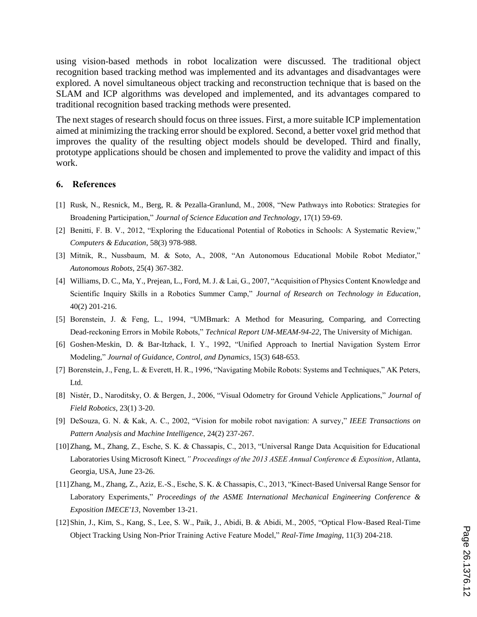using vision-based methods in robot localization were discussed. The traditional object recognition based tracking method was implemented and its advantages and disadvantages were explored. A novel simultaneous object tracking and reconstruction technique that is based on the SLAM and ICP algorithms was developed and implemented, and its advantages compared to traditional recognition based tracking methods were presented.

The next stages of research should focus on three issues. First, a more suitable ICP implementation aimed at minimizing the tracking error should be explored. Second, a better voxel grid method that improves the quality of the resulting object models should be developed. Third and finally, prototype applications should be chosen and implemented to prove the validity and impact of this work.

#### **6. References**

- [1] Rusk, N., Resnick, M., Berg, R. & Pezalla-Granlund, M., 2008, "New Pathways into Robotics: Strategies for Broadening Participation," *Journal of Science Education and Technology*, 17(1) 59-69.
- [2] Benitti, F. B. V., 2012, "Exploring the Educational Potential of Robotics in Schools: A Systematic Review," *Computers & Education*, 58(3) 978-988.
- [3] Mitnik, R., Nussbaum, M. & Soto, A., 2008, "An Autonomous Educational Mobile Robot Mediator," *Autonomous Robots*, 25(4) 367-382.
- [4] Williams, D. C., Ma, Y., Prejean, L., Ford, M. J. & Lai, G., 2007, "Acquisition of Physics Content Knowledge and Scientific Inquiry Skills in a Robotics Summer Camp," *Journal of Research on Technology in Education*, 40(2) 201-216.
- [5] Borenstein, J. & Feng, L., 1994, "UMBmark: A Method for Measuring, Comparing, and Correcting Dead-reckoning Errors in Mobile Robots," *Technical Report UM-MEAM-94-22*, The University of Michigan.
- [6] Goshen-Meskin, D. & Bar-Itzhack, I. Y., 1992, "Unified Approach to Inertial Navigation System Error Modeling," *Journal of Guidance, Control, and Dynamics*, 15(3) 648-653.
- [7] Borenstein, J., Feng, L. & Everett, H. R., 1996, "Navigating Mobile Robots: Systems and Techniques," AK Peters, Ltd.
- [8] Nistér, D., Naroditsky, O. & Bergen, J., 2006, "Visual Odometry for Ground Vehicle Applications," *Journal of Field Robotics*, 23(1) 3-20.
- [9] DeSouza, G. N. & Kak, A. C., 2002, "Vision for mobile robot navigation: A survey," *IEEE Transactions on Pattern Analysis and Machine Intelligence*, 24(2) 237-267.
- [10]Zhang, M., Zhang, Z., Esche, S. K. & Chassapis, C., 2013, "Universal Range Data Acquisition for Educational Laboratories Using Microsoft Kinect*," Proceedings of the 2013 ASEE Annual Conference & Exposition*, Atlanta, Georgia, USA, June 23-26.
- [11]Zhang, M., Zhang, Z., Aziz, E.-S., Esche, S. K. & Chassapis, C., 2013, "Kinect-Based Universal Range Sensor for Laboratory Experiments," *Proceedings of the ASME International Mechanical Engineering Conference & Exposition IMECE'13*, November 13-21.
- [12]Shin, J., Kim, S., Kang, S., Lee, S. W., Paik, J., Abidi, B. & Abidi, M., 2005, "Optical Flow-Based Real-Time Object Tracking Using Non-Prior Training Active Feature Model," *Real-Time Imaging*, 11(3) 204-218.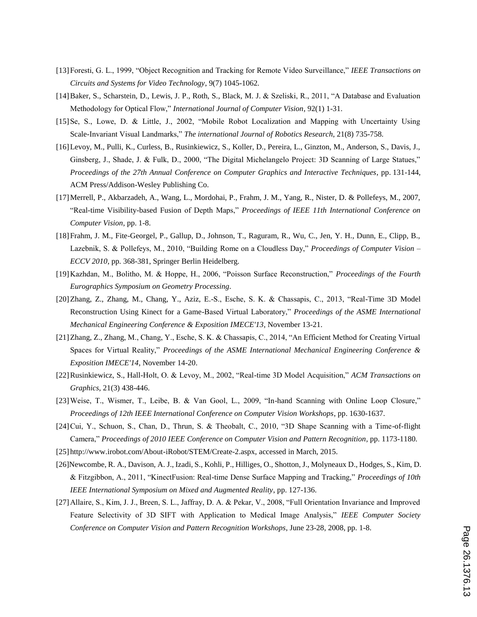- [13]Foresti, G. L., 1999, "Object Recognition and Tracking for Remote Video Surveillance," *IEEE Transactions on Circuits and Systems for Video Technology*, 9(7) 1045-1062.
- [14]Baker, S., Scharstein, D., Lewis, J. P., Roth, S., Black, M. J. & Szeliski, R., 2011, "A Database and Evaluation Methodology for Optical Flow," *International Journal of Computer Vision*, 92(1) 1-31.
- [15]Se, S., Lowe, D. & Little, J., 2002, "Mobile Robot Localization and Mapping with Uncertainty Using Scale-Invariant Visual Landmarks," *The international Journal of Robotics Research*, 21(8) 735-758.
- [16]Levoy, M., Pulli, K., Curless, B., Rusinkiewicz, S., Koller, D., Pereira, L., Ginzton, M., Anderson, S., Davis, J., Ginsberg, J., Shade, J. & Fulk, D., 2000, "The Digital Michelangelo Project: 3D Scanning of Large Statues," *Proceedings of the 27th Annual Conference on Computer Graphics and Interactive Techniques*, pp. 131-144, ACM Press/Addison-Wesley Publishing Co.
- [17]Merrell, P., Akbarzadeh, A., Wang, L., Mordohai, P., Frahm, J. M., Yang, R., Nister, D. & Pollefeys, M., 2007, "Real-time Visibility-based Fusion of Depth Maps," *Proceedings of IEEE 11th International Conference on Computer Vision*, pp. 1-8.
- [18]Frahm, J. M., Fite-Georgel, P., Gallup, D., Johnson, T., Raguram, R., Wu, C., Jen, Y. H., Dunn, E., Clipp, B., Lazebnik, S. & Pollefeys, M., 2010, "Building Rome on a Cloudless Day," *Proceedings of Computer Vision – ECCV 2010*, pp. 368-381, Springer Berlin Heidelberg.
- [19]Kazhdan, M., Bolitho, M. & Hoppe, H., 2006, "Poisson Surface Reconstruction," *Proceedings of the Fourth Eurographics Symposium on Geometry Processing*.
- [20]Zhang, Z., Zhang, M., Chang, Y., Aziz, E.-S., Esche, S. K. & Chassapis, C., 2013, "Real-Time 3D Model Reconstruction Using Kinect for a Game-Based Virtual Laboratory," *Proceedings of the ASME International Mechanical Engineering Conference & Exposition IMECE'13*, November 13-21.
- [21]Zhang, Z., Zhang, M., Chang, Y., Esche, S. K. & Chassapis, C., 2014, "An Efficient Method for Creating Virtual Spaces for Virtual Reality," *Proceedings of the ASME International Mechanical Engineering Conference & Exposition IMECE'14*, November 14-20.
- [22]Rusinkiewicz, S., Hall-Holt, O. & Levoy, M., 2002, "Real-time 3D Model Acquisition," *ACM Transactions on Graphics*, 21(3) 438-446.
- [23]Weise, T., Wismer, T., Leibe, B. & Van Gool, L., 2009, "In-hand Scanning with Online Loop Closure," *Proceedings of 12th IEEE International Conference on Computer Vision Workshops*, pp. 1630-1637.
- [24]Cui, Y., Schuon, S., Chan, D., Thrun, S. & Theobalt, C., 2010, "3D Shape Scanning with a Time-of-flight Camera," *Proceedings of 2010 IEEE Conference on Computer Vision and Pattern Recognition*, pp. 1173-1180.
- [25]http://www.irobot.com/About-iRobot/STEM/Create-2.aspx, accessed in March, 2015.
- [26]Newcombe, R. A., Davison, A. J., Izadi, S., Kohli, P., Hilliges, O., Shotton, J., Molyneaux D., Hodges, S., Kim, D. & Fitzgibbon, A., 2011, "KinectFusion: Real-time Dense Surface Mapping and Tracking," *Proceedings of 10th IEEE International Symposium on Mixed and Augmented Reality*, pp. 127-136.
- [27]Allaire, S., Kim, J. J., Breen, S. L., Jaffray, D. A. & Pekar, V., 2008, "Full Orientation Invariance and Improved Feature Selectivity of 3D SIFT with Application to Medical Image Analysis," *IEEE Computer Society Conference on Computer Vision and Pattern Recognition Workshops*, June 23-28, 2008, pp. 1-8.